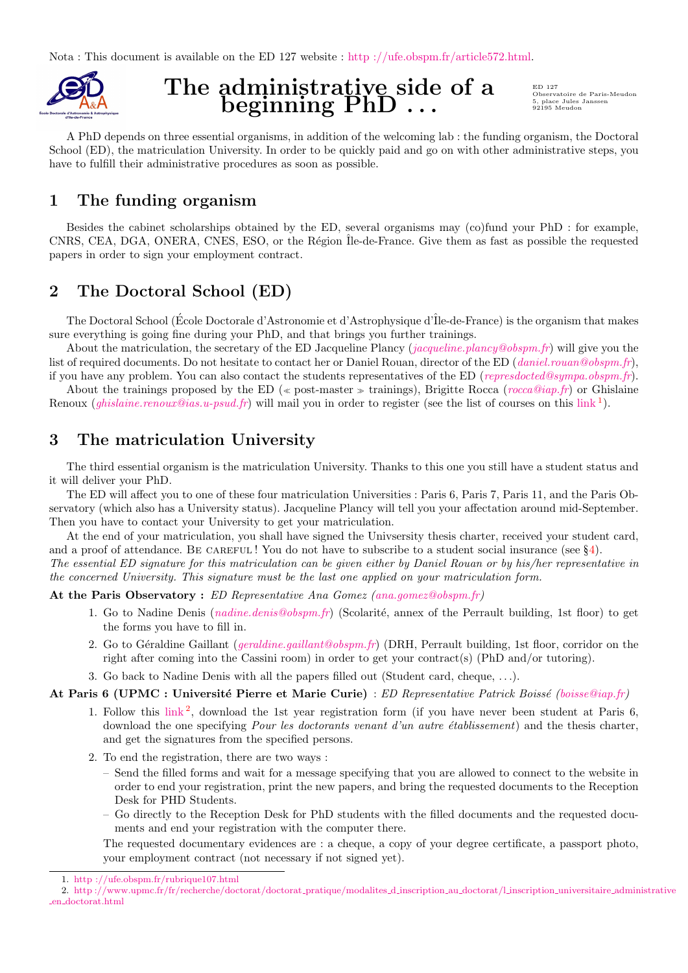<span id="page-0-2"></span>Nota : This document is available on the ED 127 website : [http ://ufe.obspm.fr/article572.html.](http://ufe.obspm.fr/article572.html)



# The administrative side of a beginning PhD...

ED 127 Observatoire de Paris-Meudon 5, place Jules Janssen 92195 Meudon

A PhD depends on three essential organisms, in addition of the welcoming lab : the funding organism, the Doctoral School (ED), the matriculation University. In order to be quickly paid and go on with other administrative steps, you have to fulfill their administrative procedures as soon as possible.

# 1 The funding organism

Besides the cabinet scholarships obtained by the ED, several organisms may (co)fund your PhD : for example, CNRS, CEA, DGA, ONERA, CNES, ESO, or the Région Te-de-France. Give them as fast as possible the requested papers in order to sign your employment contract.

# 2 The Doctoral School (ED)

The Doctoral School (École Doctorale d'Astronomie et d'Astrophysique d'Île-de-France) is the organism that makes sure everything is going fine during your PhD, and that brings you further trainings.

About the matriculation, the secretary of the ED Jacqueline Plancy ([jacqueline.plancy@obspm.fr](mailto:jacqueline.plancy@obspm.fr)) will give you the list of required documents. Do not hesitate to contact her or Daniel Rouan, director of the ED ([daniel.rouan@obspm.fr](mailto:daniel.rouan@obspm.fr)), if you have any problem. You can also contact the students representatives of the ED ([represdocted@sympa.obspm.fr](file:represdocted@sympa.obspm.fr)).

About the trainings proposed by the ED ( $\ll$  post-master  $\gg$  trainings), Brigitte Rocca ([rocca@iap.fr](mailto:rocca@iap.fr)) or Ghislaine Renoux (*[ghislaine.renoux@ias.u-psud.fr](mailto:ghislaine.renoux@ias.u-psud.fr)*) will mail you in order to register (see the list of courses on this [link](http://ufe.obspm.fr/rubrique107.html)<sup>[1](#page-0-0)</sup>).

# 3 The matriculation University

The third essential organism is the matriculation University. Thanks to this one you still have a student status and it will deliver your PhD.

The ED will affect you to one of these four matriculation Universities : Paris 6, Paris 7, Paris 11, and the Paris Observatory (which also has a University status). Jacqueline Plancy will tell you your affectation around mid-September. Then you have to contact your University to get your matriculation.

At the end of your matriculation, you shall have signed the Univsersity thesis charter, received your student card, and a proof of attendance. BE CAREFUL! You do not have to subscribe to a student social insurance (see  $\S 4$ ). The essential ED signature for this matriculation can be given either by Daniel Rouan or by his/her representative in the concerned University. This signature must be the last one applied on your matriculation form.

At the Paris Observatory : ED Representative Ana Gomez [\(ana.gomez@obspm.fr\)](mailto:ana.gomez@obspm.fr)

- 1. Go to Nadine Denis (*[nadine.denis@obspm.fr](mailto:nadine.denis@obspm.fr)*) (Scolarité, annex of the Perrault building, 1st floor) to get the forms you have to fill in.
- 2. Go to Géraldine Gaillant ([geraldine.gaillant@obspm.fr](mailto:geraldine.gaillant@obspm.fr)) (DRH, Perrault building, 1st floor, corridor on the right after coming into the Cassini room) in order to get your contract(s) (PhD and/or tutoring).
- 3. Go back to Nadine Denis with all the papers filled out (Student card, cheque, . . .).

At Paris 6 (UPMC : Université Pierre et Marie Curie) : ED Representative Patrick Boissé [\(boisse@iap.fr\)](mailto:boisse@iap.fr)

- 1. Follow this  $\lim k^2$  $\lim k^2$ , download the 1st year registration form (if you have never been student at Paris 6, download the one specifying *Pour les doctorants venant d'un autre établissement*) and the thesis charter, and get the signatures from the specified persons.
- 2. To end the registration, there are two ways :
	- Send the filled forms and wait for a message specifying that you are allowed to connect to the website in order to end your registration, print the new papers, and bring the requested documents to the Reception Desk for PHD Students.
	- Go directly to the Reception Desk for PhD students with the filled documents and the requested documents and end your registration with the computer there.

The requested documentary evidences are : a cheque, a copy of your degree certificate, a passport photo, your employment contract (not necessary if not signed yet).

<span id="page-0-1"></span><span id="page-0-0"></span><sup>1.</sup> [http ://ufe.obspm.fr/rubrique107.html](http://ufe.obspm.fr/rubrique107.html)

<sup>2.</sup> [http ://www.upmc.fr/fr/recherche/doctorat/doctorat](http://www.upmc.fr/fr/recherche/doctorat/doctorat_pratique/modalites_d_inscription_au_doctorat/l_inscription_universitaire_administrative_en_doctorat.html) pratique/modalites d inscription au doctorat/l inscription universitaire administrative en [doctorat.html](http://www.upmc.fr/fr/recherche/doctorat/doctorat_pratique/modalites_d_inscription_au_doctorat/l_inscription_universitaire_administrative_en_doctorat.html)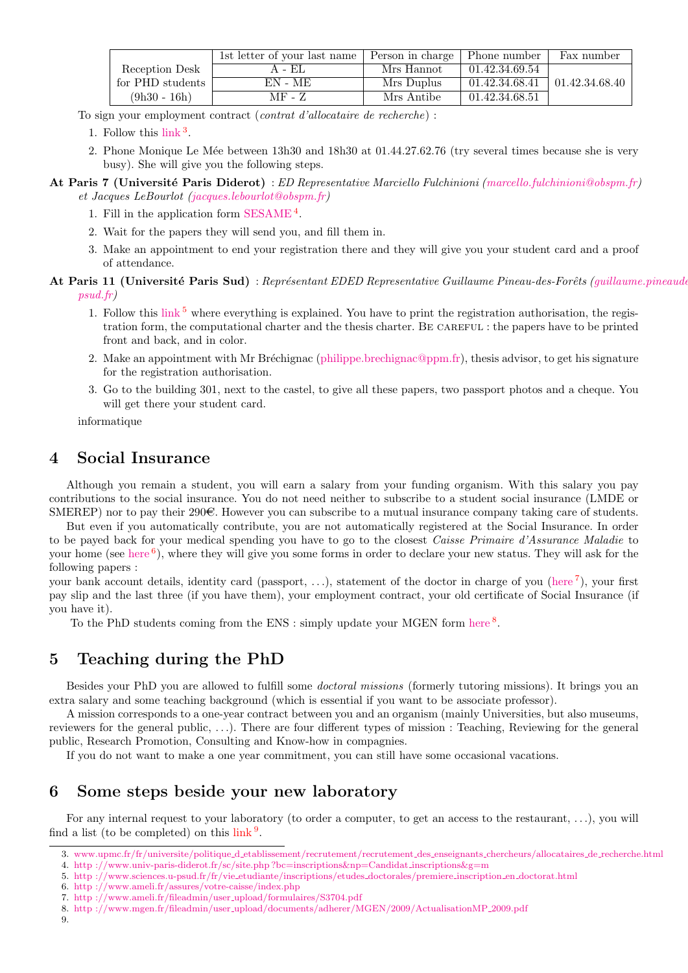|                  | 1st letter of your last name | Person in charge | Phone number   | Fax number     |
|------------------|------------------------------|------------------|----------------|----------------|
| Reception Desk   | A - EL                       | Mrs Hannot       | 01.42.34.69.54 |                |
| for PHD students | EN - ME                      | Mrs Duplus       | 01.42.34.68.41 | 01.42.34.68.40 |
| $(9h30 - 16h)$   | MF - Z                       | Mrs Antibe       | 01.42.34.68.51 |                |

To sign your employment contract (contrat d'allocataire de recherche) :

- 1. Follow this [link](http://www.upmc.fr/fr/universite/politique_d_etablissement/recrutement/recrutement_des_enseignants_chercheurs/allocataires_de_recherche.html) [3](#page-1-1) .
- 2. Phone Monique Le Mée between 13h30 and 18h30 at 01.44.27.62.76 (try several times because she is very busy). She will give you the following steps.

#### At Paris 7 (Université Paris Diderot) : ED Representative Marciello Fulchinioni [\(marcello.fulchinioni@obspm.fr\)](mailto:marcello.fulchinioni@obspm.fr) et Jacques LeBourlot [\(jacques.lebourlot@obspm.fr\)](mailto:jacques.lebourlot@obspm.fr)

- 1. Fill in the application form  $SESAME<sup>4</sup>$  $SESAME<sup>4</sup>$  $SESAME<sup>4</sup>$  $SESAME<sup>4</sup>$ .
- 2. Wait for the papers they will send you, and fill them in.
- 3. Make an appointment to end your registration there and they will give you your student card and a proof of attendance.

### At Paris 11 (Université Paris Sud) : Représentant EDED Representative Guillaume Pineau-des-Forêts [\(guillaume](mailto:guillaume.pineaudesforets@ias.u-psud.fr).pineaudes [psud.fr\)](mailto:guillaume.pineaudesforets@ias.u-psud.fr)

- 1. Follow this  $\text{link}^5$  $\text{link}^5$  $\text{link}^5$  $\text{link}^5$  where everything is explained. You have to print the registration authorisation, the registration form, the computational charter and the thesis charter. Be careful : the papers have to be printed front and back, and in color.
- 2. Make an appointment with Mr Bréchignac [\(philippe.brechignac@ppm.fr\)](mailto:philippe.brechignac@ppm.fr), thesis advisor, to get his signature for the registration authorisation.
- 3. Go to the building 301, next to the castel, to give all these papers, two passport photos and a cheque. You will get there your student card.

informatique

### <span id="page-1-0"></span>4 Social Insurance

Although you remain a student, you will earn a salary from your funding organism. With this salary you pay contributions to the social insurance. You do not need neither to subscribe to a student social insurance (LMDE or SMEREP) nor to pay their 290 $\in$ . However you can subscribe to a mutual insurance company taking care of students.

But even if you automatically contribute, you are not automatically registered at the Social Insurance. In order to be payed back for your medical spending you have to go to the closest Caisse Primaire d'Assurance Maladie to your home (see [here](http://www.ameli.fr/assures/votre-caisse/index.php) <sup>[6](#page-1-4)</sup>), where they will give you some forms in order to declare your new status. They will ask for the following papers :

your bank account details, identity card (passport, ...), statement of the doctor in charge of you [\(here](http://www.ameli.fr/fileadmin/user_upload/formulaires/S3704.pdf)  $\bar{7}$  $\bar{7}$  $\bar{7}$ ), your first pay slip and the last three (if you have them), your employment contract, your old certificate of Social Insurance (if you have it).

To the PhD students coming from the ENS : simply update your MGEN form [here](http://www.mgen.fr/fileadmin/user_upload/documents/adherer/MGEN/2009/ActualisationMP_2009.pdf)  $8$ .

# 5 Teaching during the PhD

Besides your PhD you are allowed to fulfill some doctoral missions (formerly tutoring missions). It brings you an extra salary and some teaching background (which is essential if you want to be associate professor).

A mission corresponds to a one-year contract between you and an organism (mainly Universities, but also museums, reviewers for the general public, . . .). There are four different types of mission : Teaching, Reviewing for the general public, Research Promotion, Consulting and Know-how in compagnies.

If you do not want to make a one year commitment, you can still have some occasional vacations.

### 6 Some steps beside your new laboratory

For any internal request to your laboratory (to order a computer, to get an access to the restaurant, . . .), you will find a list (to be completed) on this  $\overline{\text{link}^9}$  $\overline{\text{link}^9}$  $\overline{\text{link}^9}$  $\overline{\text{link}^9}$  $\overline{\text{link}^9}$ .

<span id="page-1-2"></span>4. [http ://www.univ-paris-diderot.fr/sc/site.php ?bc=inscriptions&np=Candidat](http://www.univ-paris-diderot.fr/sc/site.php?bc=inscriptions&np=Candidat_inscriptions&g=m) inscriptions&g=m

<span id="page-1-4"></span>6. [http ://www.ameli.fr/assures/votre-caisse/index.php](http://www.ameli.fr/assures/votre-caisse/index.php)

- <span id="page-1-6"></span>8. http ://www.mgen.fr/fileadmin/user [upload/documents/adherer/MGEN/2009/ActualisationMP](http://www.mgen.fr/fileadmin/user_upload/documents/adherer/MGEN/2009/ActualisationMP_2009.pdf) 2009.pdf
- <span id="page-1-7"></span>9.

<span id="page-1-1"></span><sup>3.</sup> www.upmc.fr/fr/universite/politique\_d\_[etablissement/recrutement/recrutement](http://www.upmc.fr/fr/universite/politique_d_etablissement/recrutement/recrutement_des_enseignants_chercheurs/allocataires_de_recherche.html)\_des\_enseignants\_chercheurs/allocataires\_de\_recherche.html

<span id="page-1-3"></span><sup>5.</sup> [http ://www.sciences.u-psud.fr/fr/vie](http://www.sciences.u-psud.fr/fr/vie_etudiante/inscriptions/etudes_doctorales/premiere_inscription_en_doctorat.html) etudiante/inscriptions/etudes doctorales/premiere inscription en doctorat.html

<span id="page-1-5"></span><sup>7.</sup> [http ://www.ameli.fr/fileadmin/user](http://www.ameli.fr/fileadmin/user_upload/formulaires/S3704.pdf) upload/formulaires/S3704.pdf